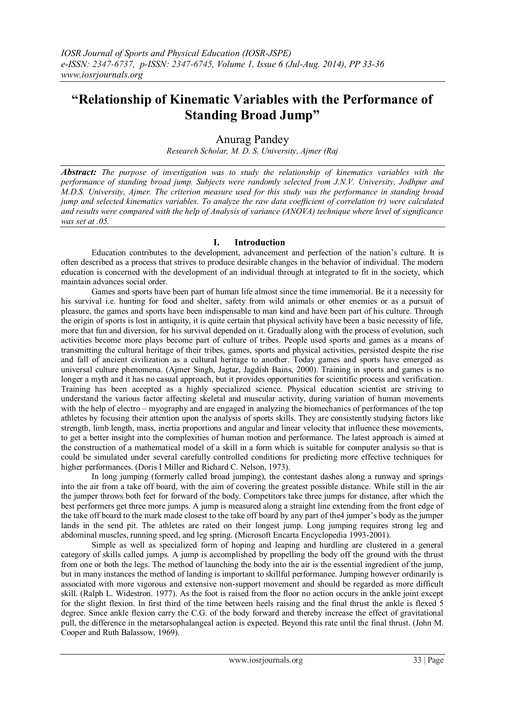# **"Relationship of Kinematic Variables with the Performance of Standing Broad Jump"**

## Anurag Pandey

*Research Scholar, M. D. S. University, Ajmer (Raj*

*Abstract: The purpose of investigation was to study the relationship of kinematics variables with the performance of standing broad jump. Subjects were randomly selected from J.N.V. University, Jodhpur and M.D.S. University, Ajmer. The criterion measure used for this study was the performance in standing broad jump and selected kinematics variables. To analyze the raw data coefficient of correlation (r) were calculated and results were compared with the help of Analysis of variance (ANOVA) technique where level of significance was set at .05.*

## **I. Introduction**

Education contributes to the development, advancement and perfection of the nation"s culture. It is often described as a process that strives to produce desirable changes in the behavior of individual. The modern education is concerned with the development of an individual through at integrated to fit in the society, which maintain advances social order.

Games and sports have been part of human life almost since the time immemorial. Be it a necessity for his survival i.e. hunting for food and shelter, safety from wild animals or other enemies or as a pursuit of pleasure, the games and sports have been indispensable to man kind and have been part of his culture. Through the origin of sports is lost in antiquity, it is quite certain that physical activity have been a basic necessity of life, more that fun and diversion, for his survival depended on it. Gradually along with the process of evolution, such activities become more plays become part of culture of tribes. People used sports and games as a means of transmitting the cultural heritage of their tribes, games, sports and physical activities, persisted despite the rise and fall of ancient civilization as a cultural heritage to another. Today games and sports have emerged as universal culture phenomena. (Ajmer Singh, Jagtar, Jagdish Bains, 2000). Training in sports and games is no longer a myth and it has no casual approach, but it provides opportunities for scientific process and verification. Training has been accepted as a highly specialized science. Physical education scientist are striving to understand the various factor affecting skeletal and muscular activity, during variation of human movements with the help of electro – myography and are engaged in analyzing the biomechanics of performances of the top athletes by focusing their attention upon the analysis of sports skills. They are consistently studying factors like strength, limb length, mass, inertia proportions and angular and linear velocity that influence these movements, to get a better insight into the complexities of human motion and performance. The latest approach is aimed at the construction of a mathematical model of a skill in a form which is suitable for computer analysis so that is could be simulated under several carefully controlled conditions for predicting more effective techniques for higher performances. (Doris I Miller and Richard C. Nelson, 1973).

In long jumping (formerly called broad jumping), the contestant dashes along a runway and springs into the air from a take off board, with the aim of covering the greatest possible distance. While still in the air the jumper throws both feet for forward of the body. Competitors take three jumps for distance, after which the best performers get three more jumps. A jump is measured along a straight line extending from the front edge of the take off board to the mark made closest to the take off board by any part of the4 jumper"s body as the jumper lands in the send pit. The athletes are rated on their longest jump. Long jumping requires strong leg and abdominal muscles, running speed, and leg spring. (Microsoft Encarta Encyclopedia 1993-2001).

Simple as well as specialized form of hoping and leaping and hurdling are clustered in a general category of skills called jumps. A jump is accomplished by propelling the body off the ground with the thrust from one or both the legs. The method of launching the body into the air is the essential ingredient of the jump, but in many instances the method of landing is important to skillful performance. Jumping however ordinarily is associated with more vigorous and extensive non-support movement and should be regarded as more difficult skill. (Ralph L. Widestron. 1977). As the foot is raised from the floor no action occurs in the ankle joint except for the slight flexion. In first third of the time between heels raising and the final thrust the ankle is flexed 5 degree. Since ankle flexion carry the C.G. of the body forward and thereby increase the effect of gravitational pull, the difference in the metarsophalangeal action is expected. Beyond this rate until the final thrust. (John M. Cooper and Ruth Balassow, 1969).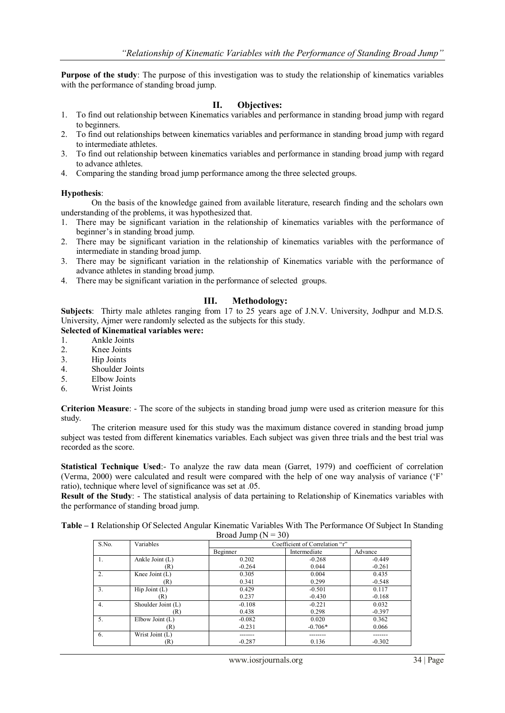**Purpose of the study**: The purpose of this investigation was to study the relationship of kinematics variables with the performance of standing broad jump.

### **II. Objectives:**

- 1. To find out relationship between Kinematics variables and performance in standing broad jump with regard to beginners.
- 2. To find out relationships between kinematics variables and performance in standing broad jump with regard to intermediate athletes.
- 3. To find out relationship between kinematics variables and performance in standing broad jump with regard to advance athletes.
- 4. Comparing the standing broad jump performance among the three selected groups.

#### **Hypothesis**:

On the basis of the knowledge gained from available literature, research finding and the scholars own understanding of the problems, it was hypothesized that.

- 1. There may be significant variation in the relationship of kinematics variables with the performance of beginner"s in standing broad jump.
- 2. There may be significant variation in the relationship of kinematics variables with the performance of intermediate in standing broad jump.
- 3. There may be significant variation in the relationship of Kinematics variable with the performance of advance athletes in standing broad jump.
- 4. There may be significant variation in the performance of selected groups.

## **III. Methodology:**

**Subjects**: Thirty male athletes ranging from 17 to 25 years age of J.N.V. University, Jodhpur and M.D.S. University, Ajmer were randomly selected as the subjects for this study.

### **Selected of Kinematical variables were:**

- 1. Ankle Joints
- 2. Knee Joints
- 3. Hip Joints
- 4. Shoulder Joints
- 5. Elbow Joints
- 6. Wrist Joints

**Criterion Measure**: - The score of the subjects in standing broad jump were used as criterion measure for this study.

The criterion measure used for this study was the maximum distance covered in standing broad jump subject was tested from different kinematics variables. Each subject was given three trials and the best trial was recorded as the score.

**Statistical Technique Used**:- To analyze the raw data mean (Garret, 1979) and coefficient of correlation (Verma, 2000) were calculated and result were compared with the help of one way analysis of variance ("F" ratio), technique where level of significance was set at .05.

**Result of the Study**: - The statistical analysis of data pertaining to Relationship of Kinematics variables with the performance of standing broad jump.

| Table – 1 Relationship Of Selected Angular Kinematic Variables With The Performance Of Subject In Standing |                         |  |  |
|------------------------------------------------------------------------------------------------------------|-------------------------|--|--|
|                                                                                                            | Broad Jump ( $N = 30$ ) |  |  |

| S.No. | Variables              | Coefficient of Correlation "r" |              |          |
|-------|------------------------|--------------------------------|--------------|----------|
|       |                        | Beginner                       | Intermediate | Advance  |
| 1.    | Ankle Joint (L)        | 0.202                          | $-0.268$     | $-0.449$ |
|       | (R)                    | $-0.264$                       | 0.044        | $-0.261$ |
| 2.    | Knee Joint $(L)$       | 0.305                          | 0.004        | 0.435    |
|       | (R)                    | 0.341                          | 0.299        | $-0.548$ |
| 3.    | $\text{Hip Joint (L)}$ | 0.429                          | $-0.501$     | 0.117    |
|       | (R)                    | 0.237                          | $-0.430$     | $-0.168$ |
| 4.    | Shoulder Joint (L)     | $-0.108$                       | $-0.221$     | 0.032    |
|       | (R)                    | 0.438                          | 0.298        | $-0.397$ |
| 5.    | Elbow Joint $(L)$      | $-0.082$                       | 0.020        | 0.362    |
|       | (R)                    | $-0.231$                       | $-0.706*$    | 0.066    |
| 6.    | Wrist Joint (L)        |                                |              |          |
|       | (R)                    | $-0.287$                       | 0.136        | $-0.302$ |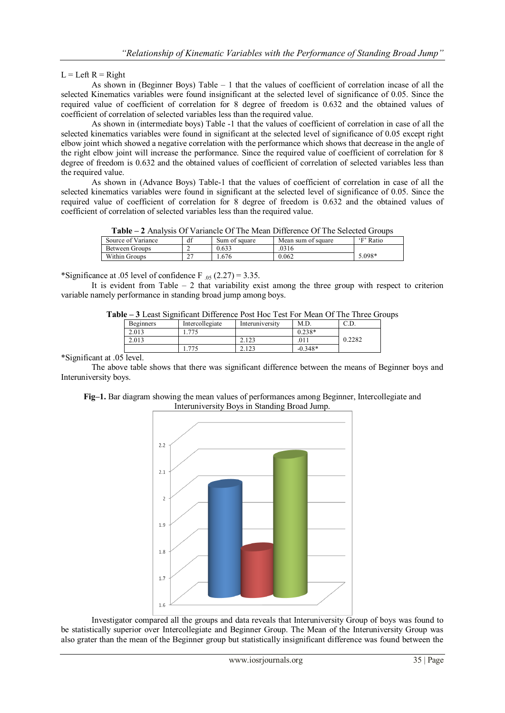## $L = Left R = Right$

As shown in (Beginner Boys) Table – 1 that the values of coefficient of correlation incase of all the selected Kinematics variables were found insignificant at the selected level of significance of 0.05. Since the required value of coefficient of correlation for 8 degree of freedom is 0.632 and the obtained values of coefficient of correlation of selected variables less than the required value.

As shown in (intermediate boys) Table -1 that the values of coefficient of correlation in case of all the selected kinematics variables were found in significant at the selected level of significance of 0.05 except right elbow joint which showed a negative correlation with the performance which shows that decrease in the angle of the right elbow joint will increase the performance. Since the required value of coefficient of correlation for 8 degree of freedom is 0.632 and the obtained values of coefficient of correlation of selected variables less than the required value.

As shown in (Advance Boys) Table-1 that the values of coefficient of correlation in case of all the selected kinematics variables were found in significant at the selected level of significance of 0.05. Since the required value of coefficient of correlation for 8 degree of freedom is 0.632 and the obtained values of coefficient of correlation of selected variables less than the required value.

| <b>Table – 2</b> Analysis Of Variancle Of The Mean Difference Of The Selected Groups |    |               |                    |           |  |
|--------------------------------------------------------------------------------------|----|---------------|--------------------|-----------|--|
| Source of Variance                                                                   | df | Sum of square | Mean sum of square | 'F' Ratio |  |
| Between Groups                                                                       |    | 0.633         | .0316              |           |  |
| Within Groups                                                                        |    | .676          | 0.062              | 5.098*    |  |

**Table – 2** Analysis Of Variancle Of The Mean Difference Of The Selected Groups

\*Significance at .05 level of confidence  $F_{.05}$  (2.27) = 3.35.

It is evident from Table  $-2$  that variability exist among the three group with respect to criterion variable namely performance in standing broad jump among boys.

| <b>Beginners</b> | Intercollegiate | Interuniversity | M.D       | U.D.   |
|------------------|-----------------|-----------------|-----------|--------|
| 2.013            | 774             |                 | $0.238*$  |        |
| 2.013            |                 | 2.123           | .011      | 0.2282 |
|                  | 775             | 2.123           | $-0.348*$ |        |
| i level.         |                 |                 |           |        |

**Table – 3** Least Significant Difference Post Hoc Test For Mean Of The Three Groups

\*Significant at .05

The above table shows that there was significant difference between the means of Beginner boys and Interuniversity boys.



**Fig–1.** Bar diagram showing the mean values of performances among Beginner, Intercollegiate and Interuniversity Boys in Standing Broad Jump.

Investigator compared all the groups and data reveals that Interuniversity Group of boys was found to be statistically superior over Intercollegiate and Beginner Group. The Mean of the Interuniversity Group was also grater than the mean of the Beginner group but statistically insignificant difference was found between the